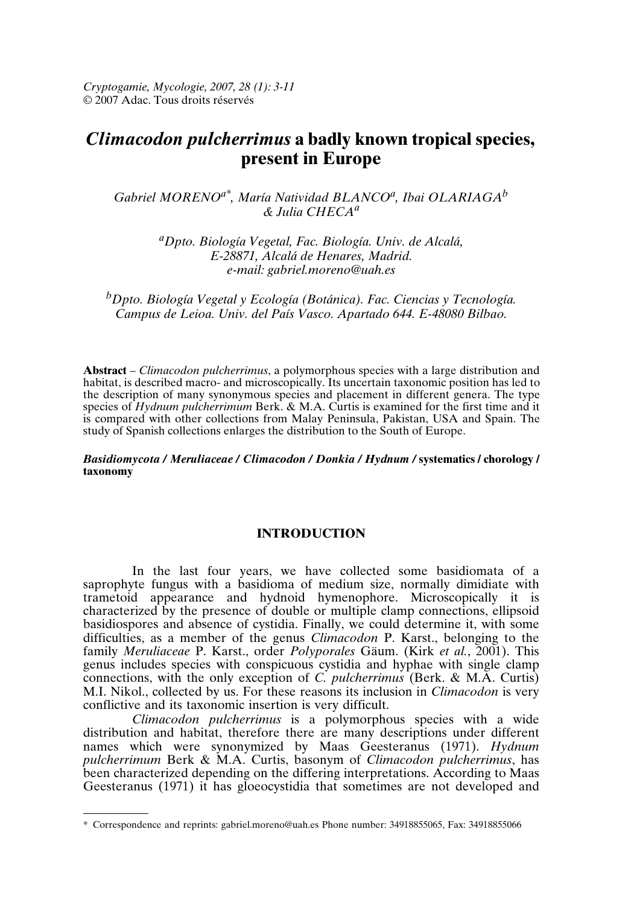*Cryptogamie, Mycologie, 2007, 28 (1): 3-11* © 2007 Adac. Tous droits réservés

# *Climacodon pulcherrimus* **a badly known tropical species, present in Europe**

*Gabriel MORENOa\*, María Natividad BLANCO<sup>a</sup> , Ibai OLARIAGA<sup>b</sup> & Julia CHECA<sup>a</sup>*

> *<sup>a</sup>Dpto. Biología Vegetal, Fac. Biología. Univ. de Alcalá, E-28871, Alcalá de Henares, Madrid. e-mail: gabriel.moreno@uah.es*

*<sup>b</sup>Dpto. Biología Vegetal y Ecología (Botánica). Fac. Ciencias y Tecnología. Campus de Leioa. Univ. del País Vasco. Apartado 644. E-48080 Bilbao.*

**Abstract** – *Climacodon pulcherrimus*, a polymorphous species with a large distribution and habitat, is described macro- and microscopically. Its uncertain taxonomic position has led to the description of many synonymous species and placement in different genera. The type species of *Hydnum pulcherrimum* Berk. & M.A. Curtis is examined for the first time and it is compared with other collections from Malay Peninsula, Pakistan, USA and Spain. The study of Spanish collections enlarges the distribution to the South of Europe.

### *Basidiomycota / Meruliaceae / Climacodon / Donkia / Hydnum /* **systematics / chorology / taxonomy**

## **INTRODUCTION**

In the last four years, we have collected some basidiomata of a saprophyte fungus with a basidioma of medium size, normally dimidiate with trametoid appearance and hydnoid hymenophore. Microscopically it is characterized by the presence of double or multiple clamp connections, ellipsoid basidiospores and absence of cystidia. Finally, we could determine it, with some difficulties, as a member of the genus *Climacodon* P. Karst., belonging to the family *Meruliaceae* P. Karst., order *Polyporales* Gäum. (Kirk *et al.*, 2001). This genus includes species with conspicuous cystidia and hyphae with single clamp connections, with the only exception of *C. pulcherrimus* (Berk. & M.A. Curtis) M.I. Nikol., collected by us. For these reasons its inclusion in *Climacodon* is very conflictive and its taxonomic insertion is very difficult.

*Climacodon pulcherrimus* is a polymorphous species with a wide distribution and habitat, therefore there are many descriptions under different names which were synonymized by Maas Geesteranus (1971). *Hydnum pulcherrimum* Berk & M.A. Curtis, basonym of *Climacodon pulcherrimus*, has been characterized depending on the differing interpretations. According to Maas Geesteranus (1971) it has gloeocystidia that sometimes are not developed and

<sup>\*</sup> Correspondence and reprints: gabriel.moreno@uah.es Phone number: 34918855065, Fax: 34918855066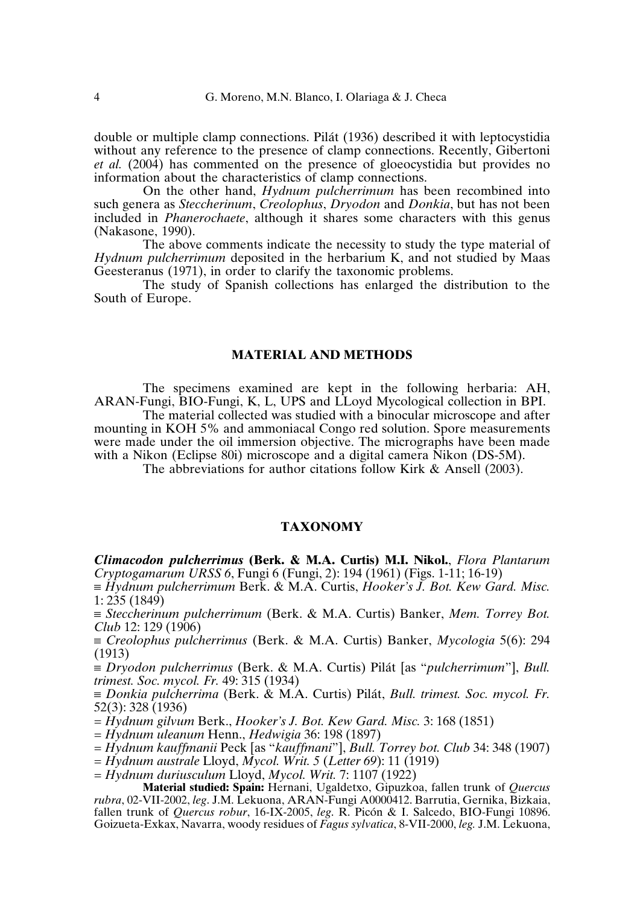double or multiple clamp connections. Pilát (1936) described it with leptocystidia without any reference to the presence of clamp connections. Recently, Gibertoni *et al.* (2004) has commented on the presence of gloeocystidia but provides no information about the characteristics of clamp connections.

On the other hand, *Hydnum pulcherrimum* has been recombined into such genera as *Steccherinum*, *Creolophus*, *Dryodon* and *Donkia*, but has not been included in *Phanerochaete*, although it shares some characters with this genus (Nakasone, 1990).

The above comments indicate the necessity to study the type material of *Hydnum pulcherrimum* deposited in the herbarium K, and not studied by Maas Geesteranus (1971), in order to clarify the taxonomic problems.

The study of Spanish collections has enlarged the distribution to the South of Europe.

## **MATERIAL AND METHODS**

The specimens examined are kept in the following herbaria: AH, ARAN-Fungi, BIO-Fungi, K, L, UPS and LLoyd Mycological collection in BPI.

The material collected was studied with a binocular microscope and after mounting in KOH 5% and ammoniacal Congo red solution. Spore measurements were made under the oil immersion objective. The micrographs have been made with a Nikon (Eclipse 80i) microscope and a digital camera Nikon (DS-5M).

The abbreviations for author citations follow Kirk & Ansell (2003).

## **TAXONOMY**

*Climacodon pulcherrimus* **(Berk. & M.A. Curtis) M.I. Nikol.**, *Flora Plantarum Cryptogamarum URSS 6*, Fungi 6 (Fungi, 2): 194 (1961) (Figs. 1-11; 16-19)

≡ *Hydnum pulcherrimum* Berk. & M.A. Curtis, *Hooker's J. Bot. Kew Gard. Misc.* 1: 235 (1849)

≡ *Steccherinum pulcherrimum* (Berk. & M.A. Curtis) Banker, *Mem. Torrey Bot. Club* 12: 129 (1906)

≡ *Creolophus pulcherrimus* (Berk. & M.A. Curtis) Banker, *Mycologia* 5(6): 294 (1913)

≡ *Dryodon pulcherrimus* (Berk. & M.A. Curtis) Pilát [as "*pulcherrimum*"], *Bull. trimest. Soc. mycol. Fr.* 49: 315 (1934)

≡ *Donkia pulcherrima* (Berk. & M.A. Curtis) Pilát, *Bull. trimest. Soc. mycol. Fr.* 52(3): 328 (1936)

*= Hydnum gilvum* Berk., *Hooker's J. Bot. Kew Gard. Misc.* 3: 168 (1851)

*= Hydnum uleanum* Henn., *Hedwigia* 36: 198 (1897)

*= Hydnum kauffmanii* Peck [as "*kauffmani*"], *Bull. Torrey bot. Club* 34: 348 (1907)

*= Hydnum australe* Lloyd, *Mycol. Writ. 5* (*Letter 69*): 11 (1919)

= *Hydnum duriusculum* Lloyd, *Mycol. Writ.* 7: 1107 (1922)

**Material studied: Spain:** Hernani, Ugaldetxo, Gipuzkoa, fallen trunk of *Quercus rubra*, 02-VII-2002, *leg*. J.M. Lekuona, ARAN-Fungi A0000412. Barrutia, Gernika, Bizkaia, fallen trunk of *Quercus robur*, 16-IX-2005, *leg*. R. Picón & I. Salcedo, BIO-Fungi 10896. Goizueta-Exkax, Navarra, woody residues of *Fagus sylvatica*, 8-VII-2000, *leg.* J.M. Lekuona,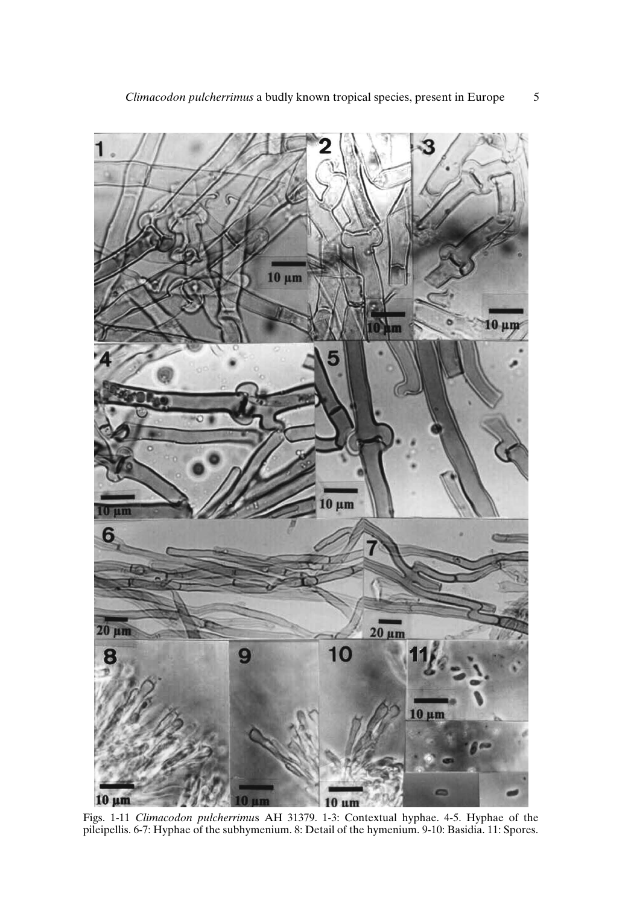

Figs. 1-11 *Climacodon pulcherrimu*s AH 31379. 1-3: Contextual hyphae. 4-5. Hyphae of the pileipellis. 6-7: Hyphae of the subhymenium. 8: Detail of the hymenium. 9-10: Basidia. 11: Spores.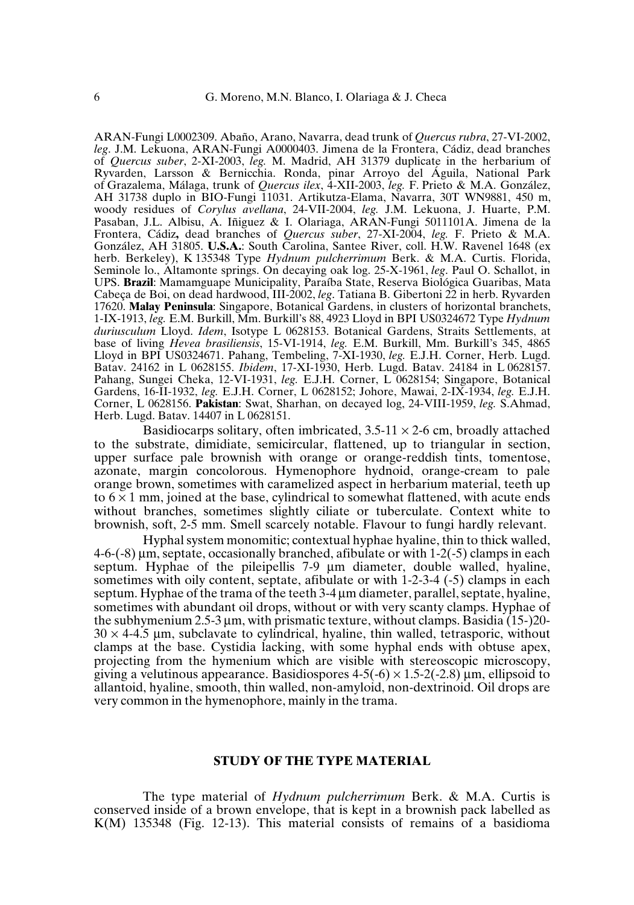ARAN-Fungi L0002309. Abaño, Arano, Navarra, dead trunk of *Quercus rubra*, 27-VI-2002, *leg*. J.M. Lekuona, ARAN-Fungi A0000403. Jimena de la Frontera, Cádiz, dead branches of *Quercus suber*, 2-XI-2003, *leg.* M. Madrid, AH 31379 duplicate in the herbarium of Ryvarden, Larsson & Bernicchia. Ronda, pinar Arroyo del Águila, National Park of Grazalema, Málaga, trunk of *Quercus ilex*, 4-XII-2003, *leg.* F. Prieto & M.A. González, AH 31738 duplo in BIO-Fungi 11031. Artikutza-Elama, Navarra, 30T WN9881, 450 m, woody residues of *Corylus avellana*, 24-VII-2004, *leg.* J.M. Lekuona, J. Huarte, P.M. Pasaban, J.L. Albisu, A. Iñiguez & I. Olariaga, ARAN-Fungi 5011101A. Jimena de la Frontera, Cádiz**,** dead branches of *Quercus suber*, 27-XI-2004, *leg.* F. Prieto & M.A. González, AH 31805. **U.S.A.**: South Carolina, Santee River, coll. H.W. Ravenel 1648 (ex herb. Berkeley), K 135348 Type *Hydnum pulcherrimum* Berk. & M.A. Curtis. Florida, Seminole lo., Altamonte springs. On decaying oak log. 25-X-1961, *leg*. Paul O. Schallot, in UPS. **Brazil**: Mamamguape Municipality, Paraíba State, Reserva Biológica Guaribas, Mata Cabeça de Boi, on dead hardwood, III-2002, *leg*. Tatiana B. Gibertoni 22 in herb. Ryvarden 17620. **Malay Peninsula**: Singapore, Botanical Gardens, in clusters of horizontal branchets, 1-IX-1913, *leg.* E.M. Burkill, Mm. Burkill's 88, 4923 Lloyd in BPI US0324672 Type *Hydnum duriusculum* Lloyd. *Idem*, Isotype L 0628153. Botanical Gardens, Straits Settlements, at base of living *Hevea brasiliensis*, 15-VI-1914, *leg.* E.M. Burkill, Mm. Burkill's 345, 4865 Lloyd in BPI US0324671. Pahang, Tembeling, 7-XI-1930, *leg.* E.J.H. Corner, Herb. Lugd. Batav. 24162 in L 0628155. *Ibidem*, 17-XI-1930, Herb. Lugd. Batav. 24184 in L 0628157. Pahang, Sungei Cheka, 12-VI-1931, *leg.* E.J.H. Corner, L 0628154; Singapore, Botanical Gardens, 16-II-1932, *leg.* E.J.H. Corner, L 0628152; Johore, Mawai, 2-IX-1934, *leg.* E.J.H. Corner, L 0628156. **Pakistan**: Swat, Sharhan, on decayed log, 24-VIII-1959, *leg.* S.Ahmad, Herb. Lugd. Batav. 14407 in L 0628151.

Basidiocarps solitary, often imbricated,  $3.5{\text -}11 \times 2{\text -}6$  cm, broadly attached to the substrate, dimidiate, semicircular, flattened, up to triangular in section, upper surface pale brownish with orange or orange-reddish tints, tomentose, azonate, margin concolorous. Hymenophore hydnoid, orange-cream to pale orange brown, sometimes with caramelized aspect in herbarium material, teeth up to  $6 \times 1$  mm, joined at the base, cylindrical to somewhat flattened, with acute ends without branches, sometimes slightly ciliate or tuberculate. Context white to brownish, soft, 2-5 mm. Smell scarcely notable. Flavour to fungi hardly relevant.

Hyphal system monomitic; contextual hyphae hyaline, thin to thick walled, 4-6-(-8) µm, septate, occasionally branched, afibulate or with 1-2(-5) clamps in each septum. Hyphae of the pileipellis 7-9 µm diameter, double walled, hyaline, sometimes with oily content, septate, afibulate or with 1-2-3-4 (-5) clamps in each septum. Hyphae of the trama of the teeth 3-4 µm diameter, parallel, septate, hyaline, sometimes with abundant oil drops, without or with very scanty clamps. Hyphae of the subhymenium 2.5-3 µm, with prismatic texture, without clamps. Basidia (15-)20-  $30 \times 4-4.5$  µm, subclavate to cylindrical, hyaline, thin walled, tetrasporic, without clamps at the base. Cystidia lacking, with some hyphal ends with obtuse apex, projecting from the hymenium which are visible with stereoscopic microscopy, giving a velutinous appearance. Basidiospores  $4-5(-6) \times 1.5-2(-2.8)$  µm, ellipsoid to allantoid, hyaline, smooth, thin walled, non-amyloid, non-dextrinoid. Oil drops are very common inthe hymenophore, mainly inthe trama.

### **STUDY OF THE TYPE MATERIAL**

The type material of *Hydnum pulcherrimum* Berk. & M.A. Curtis is conserved inside of a brown envelope, that is kept in a brownish pack labelled as K(M) 135348 (Fig. 12-13). This material consists of remains of a basidioma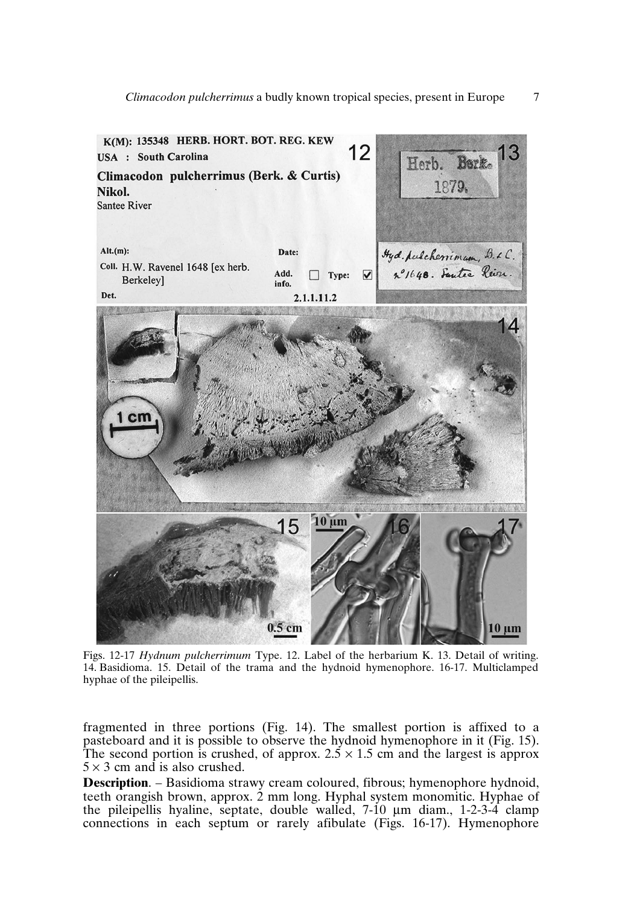

Figs. 12-17 *Hydnum pulcherrimum* Type. 12. Label of the herbarium K. 13. Detail of writing. 14. Basidioma. 15. Detail of the trama and the hydnoid hymenophore. 16-17. Multiclamped hyphae of the pileipellis.

fragmented in three portions (Fig. 14). The smallest portion is affixed to a pasteboard and it is possible to observe the hydnoid hymenophore in it (Fig. 15). The second portion is crushed, of approx.  $2.5 \times 1.5$  cm and the largest is approx.  $5 \times 3$  cm and is also crushed.

**Description**. – Basidioma strawy cream coloured, fibrous; hymenophore hydnoid, teeth orangish brown, approx. 2 mm long. Hyphal system monomitic. Hyphae of the pileipellis hyaline, septate, double walled, 7-10 µm diam., 1-2-3-4 clamp connections in each septum or rarely afibulate (Figs. 16-17). Hymenophore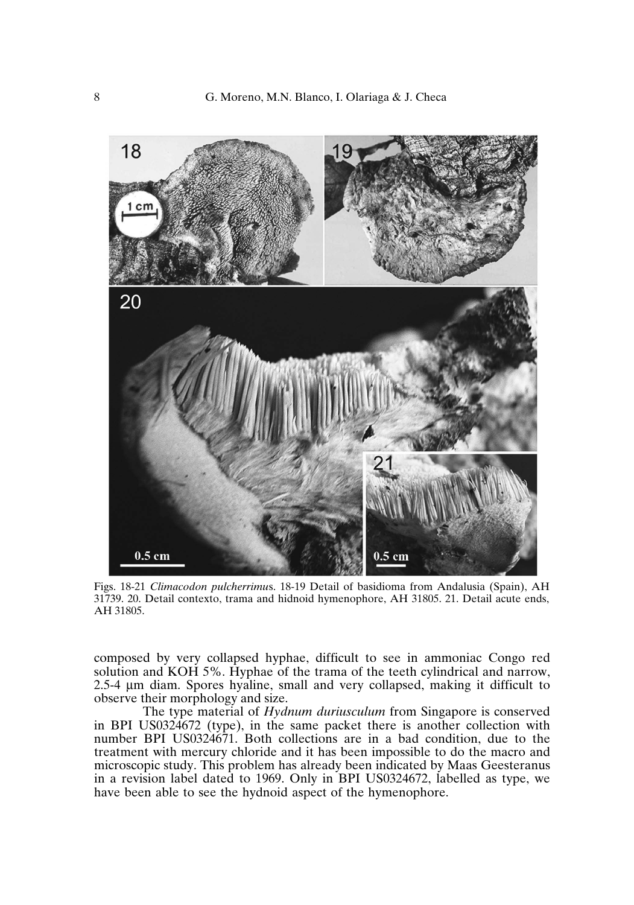

Figs. 18-21 *Climacodon pulcherrimu*s. 18-19 Detail of basidioma from Andalusia (Spain), AH 31739. 20. Detail contexto, trama and hidnoid hymenophore, AH 31805. 21. Detail acute ends, AH 31805.

composed by very collapsed hyphae, difficult to see in ammoniac Congo red solution and KOH 5%. Hyphae of the trama of the teeth cylindrical and narrow, 2.5-4 µm diam. Spores hyaline, small and very collapsed, making it difficult to observe their morphology and size.

The type material of *Hydnum duriusculum* from Singapore is conserved in BPI US0324672 (type), in the same packet there is another collection with number BPI US0324671. Both collections are in a bad condition, due to the treatment with mercury chloride and it has been impossible to do the macro and microscopic study. This problem has already been indicated by Maas Geesteranus in a revision label dated to 1969. Only in BPI US0324672, labelled as type, we have been able to see the hydnoid aspect of the hymenophore.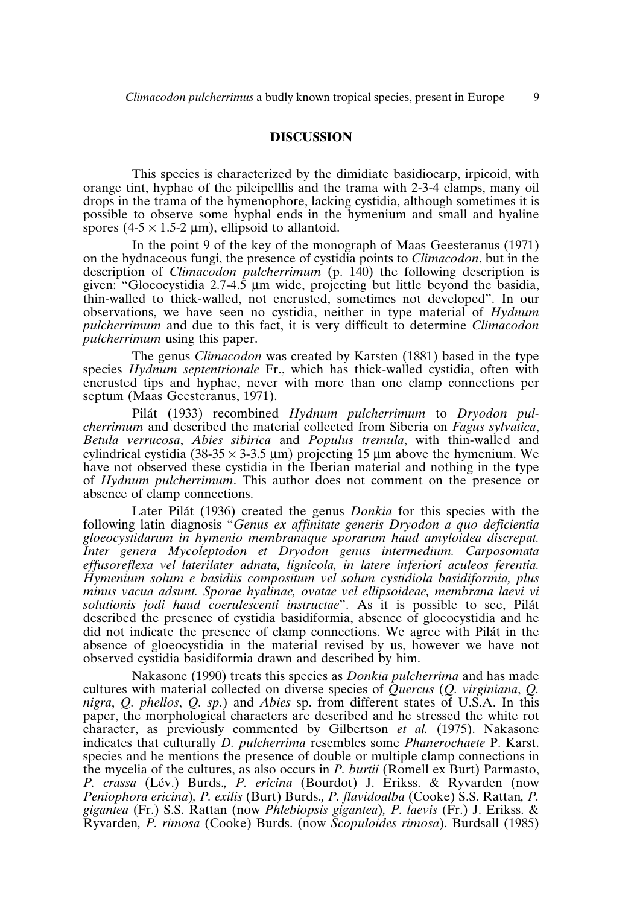## **DISCUSSION**

This species is characterized by the dimidiate basidiocarp, irpicoid, with orange tint, hyphae of the pileipelllis and the trama with 2-3-4 clamps, many oil drops in the trama of the hymenophore, lacking cystidia, although sometimes it is possible to observe some hyphal ends in the hymenium and small and hyaline spores  $(4-5 \times 1.5-2 \mu m)$ , ellipsoid to allantoid.

In the point 9 of the key of the monograph of Maas Geesteranus (1971) on the hydnaceous fungi, the presence of cystidia points to *Climacodon*, but in the description of *Climacodon pulcherrimum* (p. 140) the following description is given: "Gloeocystidia  $2.7-4.5$  µm wide, projecting but little beyond the basidia, thin-walled to thick-walled, not encrusted, sometimes not developed". In our observations, we have seen no cystidia, neither in type material of *Hydnum pulcherrimum* and due to this fact, it is very difficult to determine *Climacodon pulcherrimum* using this paper.

The genus *Climacodon* was created by Karsten (1881) based in the type species *Hydnum septentrionale* Fr., which has thick-walled cystidia, often with encrusted tips and hyphae, never with more than one clamp connections per septum (Maas Geesteranus, 1971).

Pilát (1933) recombined *Hydnum pulcherrimum* to *Dryodon pulcherrimum* and described the material collected from Siberia on *Fagus sylvatica*, *Betula verrucosa*, *Abies sibirica* and *Populus tremula*, with thin-walled and cylindrical cystidia (38-35  $\times$  3-3.5 µm) projecting 15 µm above the hymenium. We have not observed these cystidia in the Iberian material and nothing in the type of *Hydnum pulcherrimum*. This author does not comment on the presence or absence of clamp connections.

Later Pilát (1936) created the genus *Donkia* for this species with the following latin diagnosis "*Genus ex affinitate generis Dryodon a quo deficientia gloeocystidarum in hymenio membranaque sporarum haud amyloidea discrepat. Inter genera Mycoleptodon et Dryodon genus intermedium. Carposomata effusoreflexa vel laterilater adnata, lignicola, in latere inferiori aculeos ferentia. Hymenium solum e basidiis compositum vel solum cystidiola basidiformia, plus minus vacua adsunt. Sporae hyalinae, ovatae vel ellipsoideae, membrana laevi vi solutionis jodi haud coerulescenti instructae*". As it is possible to see, Pilát described the presence of cystidia basidiformia, absence of gloeocystidia and he did not indicate the presence of clamp connections. We agree with Pilát in the absence of gloeocystidia in the material revised by us, however we have not observed cystidia basidiformia drawn and described by him.

Nakasone (1990) treats this species as *Donkia pulcherrima* and has made cultures with material collected on diverse species of *Quercus* (*Q. virginiana*, *Q. nigra*, *Q. phellos*, *Q. sp.*) and *Abies* sp. from different states of U.S.A. In this paper, the morphological characters are described and he stressed the white rot character, as previously commented by Gilbertson *et al.* (1975). Nakasone indicates that culturally *D. pulcherrima* resembles some *Phanerochaete* P. Karst. species and he mentions the presence of double or multiple clamp connections in the mycelia of the cultures, as also occurs in *P. burtii* (Romell ex Burt) Parmasto, *P. crassa* (Lév.) Burds.*, P. ericina* (Bourdot) J. Erikss. & Ryvarden (now *Peniophora ericina*)*, P. exilis* (Burt) Burds.*, P. flavidoalba* (Cooke) S.S. Rattan*, P. gigantea* (Fr.) S.S. Rattan (now *Phlebiopsis gigantea*)*, P. laevis* (Fr.) J. Erikss. & Ryvarden*, P. rimosa* (Cooke) Burds. (now *Scopuloides rimosa*). Burdsall (1985)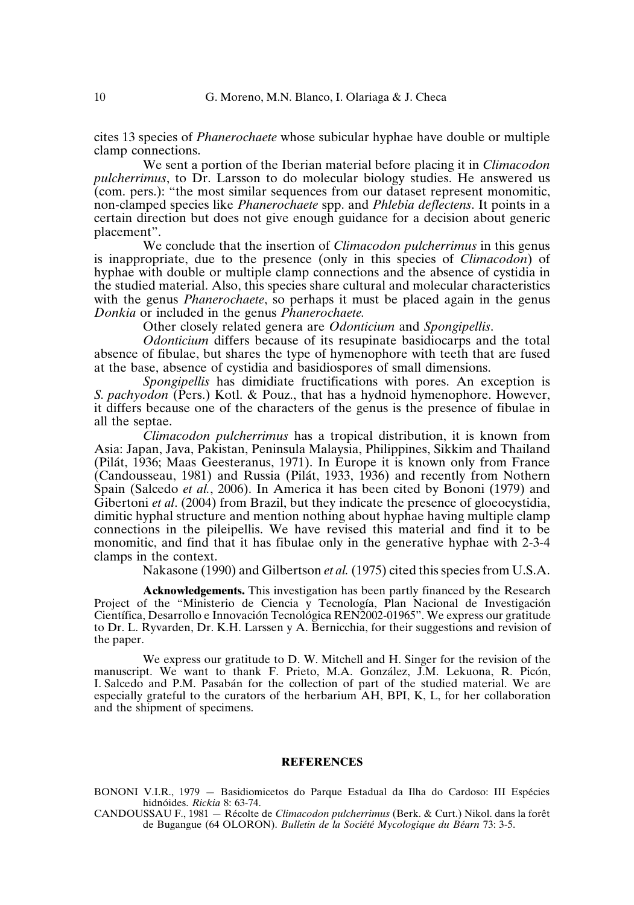cites 13 species of *Phanerochaete* whose subicular hyphae have double or multiple clamp connections.

We sent a portion of the Iberian material before placing it in *Climacodon pulcherrimus*, to Dr. Larsson to do molecular biology studies. He answered us (com. pers.): "the most similar sequences from our dataset represent monomitic, non-clamped species like *Phanerochaete* spp. and *Phlebia deflectens*. It points in a certain direction but does not give enough guidance for a decision about generic placement".

We conclude that the insertion of *Climacodon pulcherrimus* in this genus is inappropriate, due to the presence (only in this species of *Climacodon*) of hyphae with double or multiple clamp connections and the absence of cystidia in the studied material. Also, this species share cultural and molecular characteristics with the genus *Phanerochaete*, so perhaps it must be placed again in the genus *Donkia* or included in the genus *Phanerochaete.*

Other closely related genera are *Odonticium* and *Spongipellis*.

*Odonticium* differs because of its resupinate basidiocarps and the total absence of fibulae, but shares the type of hymenophore with teeth that are fused at the base, absence of cystidia and basidiospores of small dimensions.

*Spongipellis* has dimidiate fructifications with pores. An exception is *S. pachyodon* (Pers.) Kotl. & Pouz., that has a hydnoid hymenophore. However, it differs because one of the characters of the genus is the presence of fibulae in all the septae.

*Climacodon pulcherrimus* has a tropical distribution, it is known from Asia: Japan, Java, Pakistan, Peninsula Malaysia, Philippines, Sikkim and Thailand (Pilát, 1936; Maas Geesteranus, 1971). In Europe it is known only from France (Candousseau, 1981) and Russia (Pilát, 1933, 1936) and recently from Nothern Spain (Salcedo *et al.*, 2006). In America it has been cited by Bononi (1979) and Gibertoni *et al.* (2004) from Brazil, but they indicate the presence of gloeocystidia, dimitic hyphal structure and mention nothing about hyphae having multiple clamp connections in the pileipellis. We have revised this material and find it to be monomitic, and find that it has fibulae only in the generative hyphae with 2-3-4 clamps in the context.

Nakasone (1990) and Gilbertson *et al.* (1975) cited this species from U.S.A.

**Acknowledgements.** This investigation has been partly financed by the Research Project of the "Ministerio de Ciencia y Tecnología, Plan Nacional de Investigación Científica, Desarrollo e Innovación Tecnológica REN2002-01965". We express our gratitude to Dr. L. Ryvarden, Dr. K.H. Larssen y A. Bernicchia, for their suggestions and revision of the paper.

We express our gratitude to D. W. Mitchell and H. Singer for the revision of the manuscript. We want to thank F. Prieto, M.A. González, J.M. Lekuona, R. Picón, I. Salcedo and P.M. Pasabán for the collection of part of the studied material. We are especially grateful to the curators of the herbarium AH, BPI, K, L, for her collaboration and the shipment of specimens.

#### **REFERENCES**

BONONI V.I.R., 1979 — Basidiomicetos do Parque Estadual da Ilha do Cardoso: III Espécies hidnóides. *Rickia* 8: 63-74.

CANDOUSSAU F., 1981 — Récolte de *Climacodon pulcherrimus* (Berk. & Curt.) Nikol. dans la forêt de Bugangue (64 OLORON). *Bulletin de la Société Mycologique du Béarn* 73: 3-5.